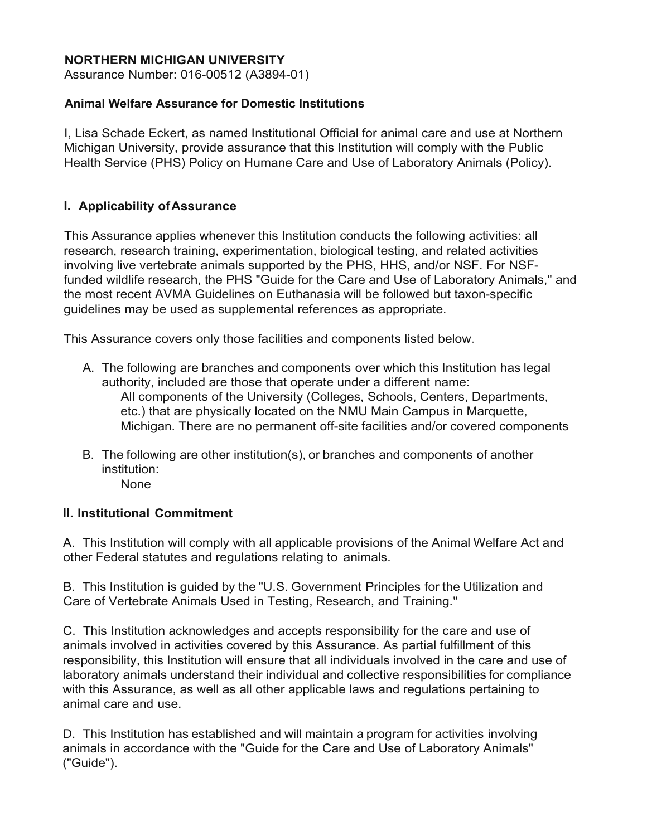#### **NORTHERN MICHIGAN UNIVERSITY**

Assurance Number: 016-00512 (A3894-01)

#### **Animal Welfare Assurance for Domestic Institutions**

I, Lisa Schade Eckert, as named Institutional Official for animal care and use at Northern Michigan University, provide assurance that this Institution will comply with the Public Health Service (PHS) Policy on Humane Care and Use of Laboratory Animals (Policy).

### **I. Applicability ofAssurance**

This Assurance applies whenever this Institution conducts the following activities: all research, research training, experimentation, biological testing, and related activities involving live vertebrate animals supported by the PHS, HHS, and/or NSF. For NSFfunded wildlife research, the PHS "Guide for the Care and Use of Laboratory Animals," and the most recent AVMA Guidelines on Euthanasia will be followed but taxon-specific guidelines may be used as supplemental references as appropriate.

This Assurance covers only those facilities and components listed below.

- A. The following are branches and components over which this Institution has legal authority, included are those that operate under a different name: All components of the University (Colleges, Schools, Centers, Departments, etc.) that are physically located on the NMU Main Campus in Marquette, Michigan. There are no permanent off-site facilities and/or covered components
- B. The following are other institution(s), or branches and components of another institution:
	- None

#### **II. Institutional Commitment**

A. This Institution will comply with all applicable provisions of the Animal Welfare Act and other Federal statutes and regulations relating to animals.

B. This Institution is guided by the "U.S. Government Principles for the Utilization and Care of Vertebrate Animals Used in Testing, Research, and Training."

C. This Institution acknowledges and accepts responsibility for the care and use of animals involved in activities covered by this Assurance. As partial fulfillment of this responsibility, this Institution will ensure that all individuals involved in the care and use of laboratory animals understand their individual and collective responsibilities for compliance with this Assurance, as well as all other applicable laws and regulations pertaining to animal care and use.

D. This Institution has established and will maintain a program for activities involving animals in accordance with the "Guide for the Care and Use of Laboratory Animals" ("Guide").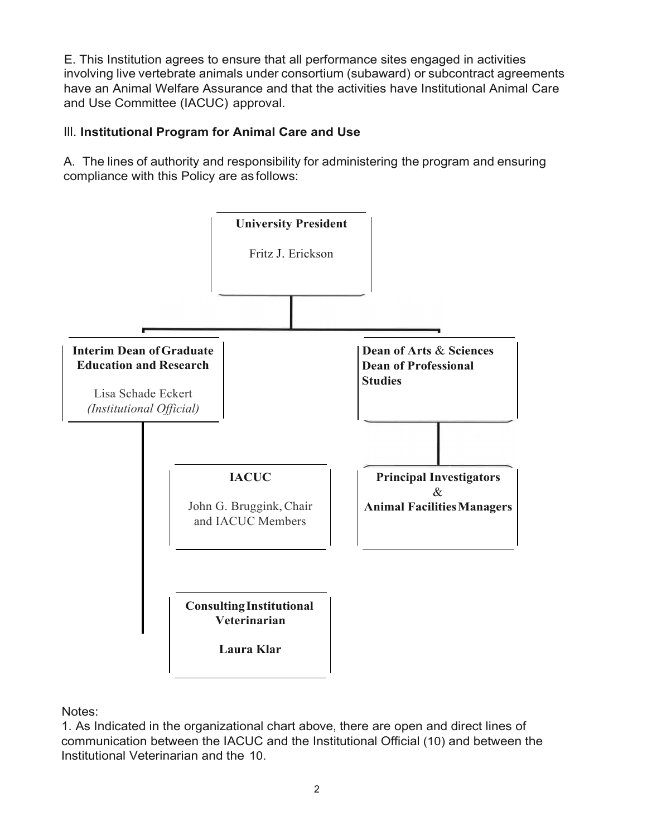E. This Institution agrees to ensure that all performance sites engaged in activities involving live vertebrate animals under consortium (subaward) or subcontract agreements have an Animal Welfare Assurance and that the activities have Institutional Animal Care and Use Committee (IACUC) approval.

## Ill. **Institutional Program for Animal Care and Use**

A. The lines of authority and responsibility for administering the program and ensuring compliance with this Policy are as follows:



Notes:

1. As Indicated in the organizational chart above, there are open and direct lines of communication between the IACUC and the Institutional Official (10) and between the Institutional Veterinarian and the 10.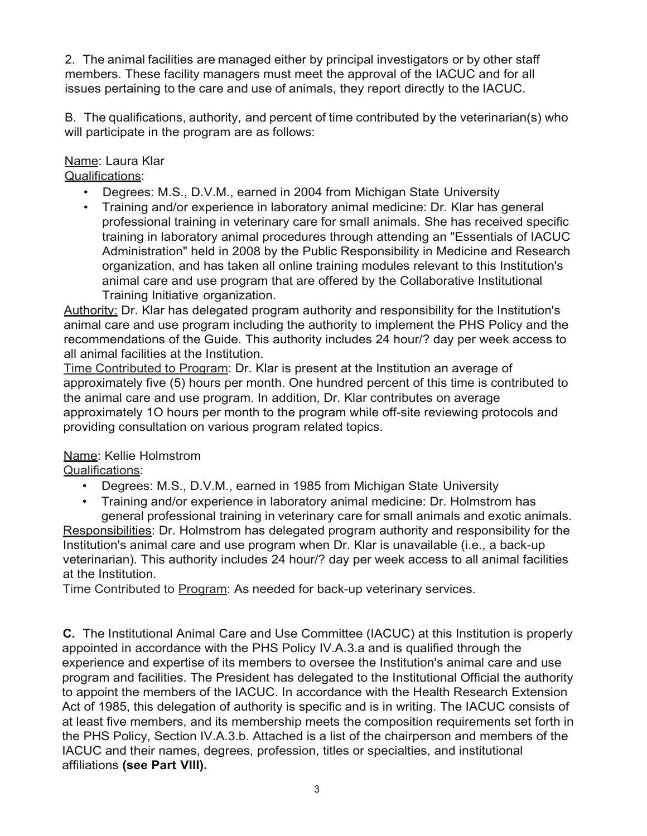2. The animal facilities are managed either by principal investigators or by other staff members. These facility managers must meet the approval of the IACUC and for all issues pertaining to the care and use of animals, they report directly to the IACUC.

B. The qualifications, authority, and percent of time contributed by the veterinarian(s) who will participate in the program are as follows:

## Name: Laura Klar

Qualifications:

- Degrees: M.S., D.V.M., earned in 2004 from Michigan State University
- Training and/or experience in laboratory animal medicine: Dr. Klar has general professional training in veterinary care for small animals. She has received specific training in laboratory animal procedures through attending an "Essentials of IACUC Administration" held in 2008 by the Public Responsibility in Medicine and Research organization, and has taken all online training modules relevant to this Institution's animal care and use program that are offered by the Collaborative Institutional Training Initiative organization.

Authority: Dr. Klar has delegated program authority and responsibility for the Institution's animal care and use program including the authority to implement the PHS Policy and the recommendations of the Guide. This authority includes 24 hour/? day per week access to all animal facilities at the Institution.

Time Contributed to Program: Dr. Klar is present at the Institution an average of approximately five (5) hours per month. One hundred percent of this time is contributed to the animal care and use program. In addition, Dr. Klar contributes on average approximately 1O hours per month to the program while off-site reviewing protocols and providing consultation on various program related topics.

Name: Kellie Holmstrom

Qualifications:

- Degrees: M.S., D.V.M., earned in 1985 from Michigan State University
- Training and/or experience in laboratory animal medicine: Dr. Holmstrom has general professional training in veterinary care for small animals and exotic animals.

Responsibilities: Dr. Holmstrom has delegated program authority and responsibility for the Institution's animal care and use program when Dr. Klar is unavailable (i.e., a back-up veterinarian). This authority includes 24 hour/? day per week access to all animal facilities at the Institution.

Time Contributed to Program: As needed for back-up veterinary services.

**C.** The Institutional Animal Care and Use Committee (IACUC) at this Institution is properly appointed in accordance with the PHS Policy IV.A.3.a and is qualified through the experience and expertise of its members to oversee the Institution's animal care and use program and facilities. The President has delegated to the Institutional Official the authority to appoint the members of the IACUC. In accordance with the Health Research Extension Act of 1985, this delegation of authority is specific and is in writing. The IACUC consists of at least five members, and its membership meets the composition requirements set forth in the PHS Policy, Section IV.A.3.b. Attached is a list of the chairperson and members of the IACUC and their names, degrees, profession, titles or specialties, and institutional affiliations **(see Part VIII).**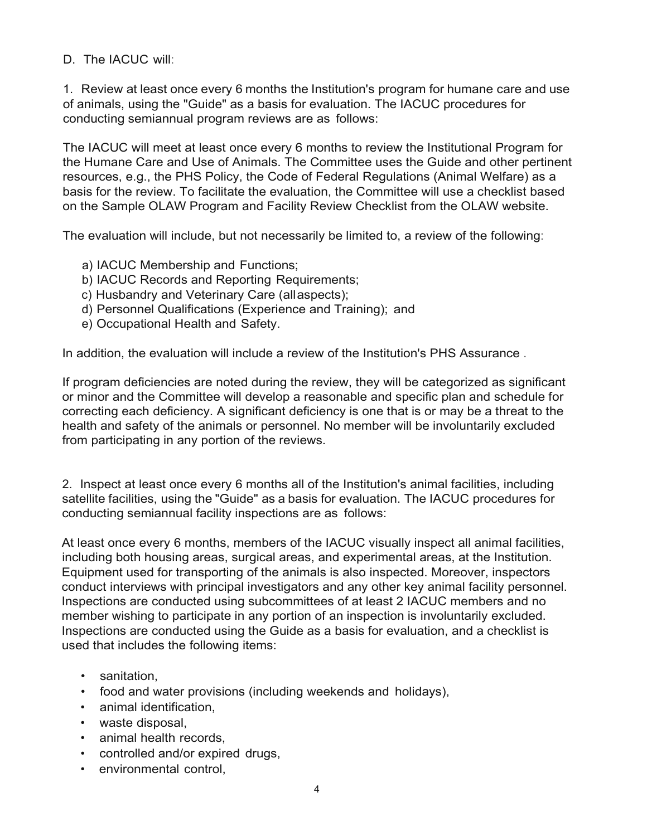#### D. The IACUC will:

1. Review at least once every 6 months the Institution's program for humane care and use of animals, using the "Guide" as a basis for evaluation. The IACUC procedures for conducting semiannual program reviews are as follows:

The IACUC will meet at least once every 6 months to review the Institutional Program for the Humane Care and Use of Animals. The Committee uses the Guide and other pertinent resources, e.g., the PHS Policy, the Code of Federal Regulations (Animal Welfare) as a basis for the review. To facilitate the evaluation, the Committee will use a checklist based on the Sample OLAW Program and Facility Review Checklist from the OLAW website.

The evaluation will include, but not necessarily be limited to, a review of the following:

- a) IACUC Membership and Functions;
- b) IACUC Records and Reporting Requirements;
- c) Husbandry and Veterinary Care (allaspects);
- d) Personnel Qualifications (Experience and Training); and
- e) Occupational Health and Safety.

In addition, the evaluation will include a review of the Institution's PHS Assurance .

If program deficiencies are noted during the review, they will be categorized as significant or minor and the Committee will develop a reasonable and specific plan and schedule for correcting each deficiency. A significant deficiency is one that is or may be a threat to the health and safety of the animals or personnel. No member will be involuntarily excluded from participating in any portion of the reviews.

2. Inspect at least once every 6 months all of the Institution's animal facilities, including satellite facilities, using the "Guide" as a basis for evaluation. The IACUC procedures for conducting semiannual facility inspections are as follows:

At least once every 6 months, members of the IACUC visually inspect all animal facilities, including both housing areas, surgical areas, and experimental areas, at the Institution. Equipment used for transporting of the animals is also inspected. Moreover, inspectors conduct interviews with principal investigators and any other key animal facility personnel. Inspections are conducted using subcommittees of at least 2 IACUC members and no member wishing to participate in any portion of an inspection is involuntarily excluded. Inspections are conducted using the Guide as a basis for evaluation, and a checklist is used that includes the following items:

- sanitation,
- food and water provisions (including weekends and holidays),
- animal identification,
- waste disposal,
- animal health records,
- controlled and/or expired drugs,
- environmental control,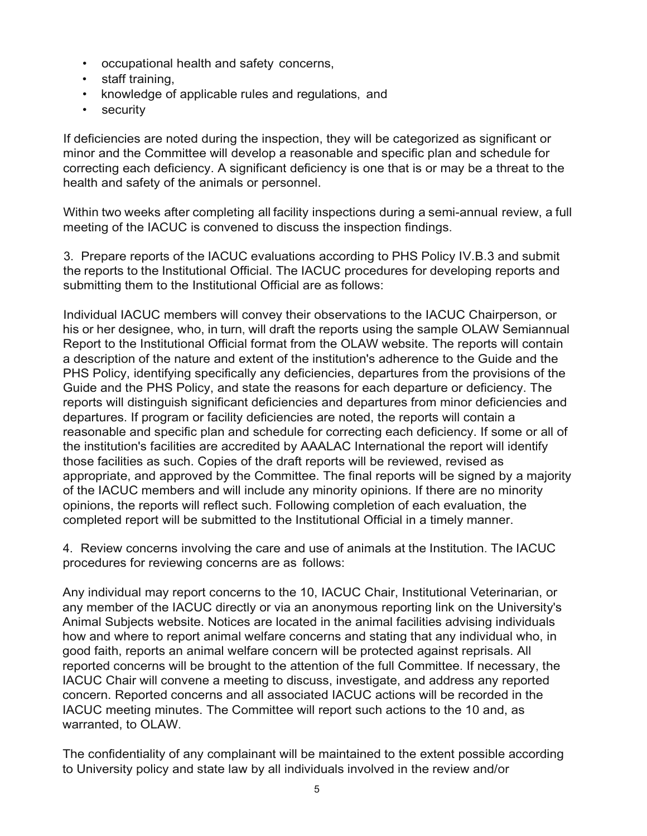- occupational health and safety concerns,
- staff training,
- knowledge of applicable rules and regulations, and
- security

If deficiencies are noted during the inspection, they will be categorized as significant or minor and the Committee will develop a reasonable and specific plan and schedule for correcting each deficiency. A significant deficiency is one that is or may be a threat to the health and safety of the animals or personnel.

Within two weeks after completing all facility inspections during a semi-annual review, a full meeting of the IACUC is convened to discuss the inspection findings.

3. Prepare reports of the IACUC evaluations according to PHS Policy IV.B.3 and submit the reports to the Institutional Official. The IACUC procedures for developing reports and submitting them to the Institutional Official are as follows:

Individual IACUC members will convey their observations to the IACUC Chairperson, or his or her designee, who, in turn, will draft the reports using the sample OLAW Semiannual Report to the Institutional Official format from the OLAW website. The reports will contain a description of the nature and extent of the institution's adherence to the Guide and the PHS Policy, identifying specifically any deficiencies, departures from the provisions of the Guide and the PHS Policy, and state the reasons for each departure or deficiency. The reports will distinguish significant deficiencies and departures from minor deficiencies and departures. If program or facility deficiencies are noted, the reports will contain a reasonable and specific plan and schedule for correcting each deficiency. If some or all of the institution's facilities are accredited by AAALAC International the report will identify those facilities as such. Copies of the draft reports will be reviewed, revised as appropriate, and approved by the Committee. The final reports will be signed by a majority of the IACUC members and will include any minority opinions. If there are no minority opinions, the reports will reflect such. Following completion of each evaluation, the completed report will be submitted to the Institutional Official in a timely manner.

4. Review concerns involving the care and use of animals at the Institution. The IACUC procedures for reviewing concerns are as follows:

Any individual may report concerns to the 10, IACUC Chair, Institutional Veterinarian, or any member of the IACUC directly or via an anonymous reporting link on the University's Animal Subjects website. Notices are located in the animal facilities advising individuals how and where to report animal welfare concerns and stating that any individual who, in good faith, reports an animal welfare concern will be protected against reprisals. All reported concerns will be brought to the attention of the full Committee. If necessary, the IACUC Chair will convene a meeting to discuss, investigate, and address any reported concern. Reported concerns and all associated IACUC actions will be recorded in the IACUC meeting minutes. The Committee will report such actions to the 10 and, as warranted, to OLAW.

The confidentiality of any complainant will be maintained to the extent possible according to University policy and state law by all individuals involved in the review and/or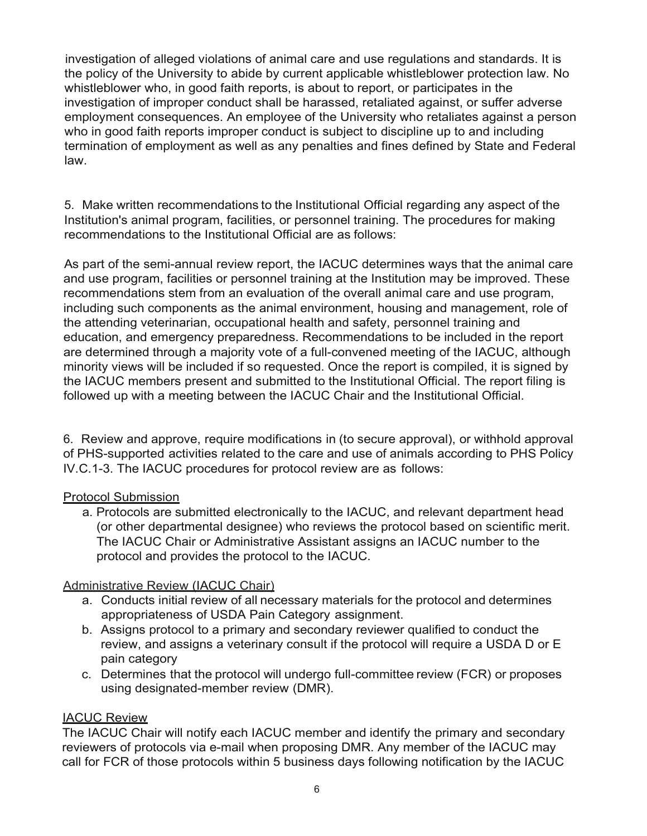investigation of alleged violations of animal care and use regulations and standards. It is the policy of the University to abide by current applicable whistleblower protection law. No whistleblower who, in good faith reports, is about to report, or participates in the investigation of improper conduct shall be harassed, retaliated against, or suffer adverse employment consequences. An employee of the University who retaliates against a person who in good faith reports improper conduct is subject to discipline up to and including termination of employment as well as any penalties and fines defined by State and Federal law.

5. Make written recommendations to the Institutional Official regarding any aspect of the Institution's animal program, facilities, or personnel training. The procedures for making recommendations to the Institutional Official are as follows:

As part of the semi-annual review report, the IACUC determines ways that the animal care and use program, facilities or personnel training at the Institution may be improved. These recommendations stem from an evaluation of the overall animal care and use program, including such components as the animal environment, housing and management, role of the attending veterinarian, occupational health and safety, personnel training and education, and emergency preparedness. Recommendations to be included in the report are determined through a majority vote of a full-convened meeting of the IACUC, although minority views will be included if so requested. Once the report is compiled, it is signed by the IACUC members present and submitted to the Institutional Official. The report filing is followed up with a meeting between the IACUC Chair and the Institutional Official.

6. Review and approve, require modifications in (to secure approval), or withhold approval of PHS-supported activities related to the care and use of animals according to PHS Policy IV.C.1-3. The IACUC procedures for protocol review are as follows:

#### Protocol Submission

a. Protocols are submitted electronically to the IACUC, and relevant department head (or other departmental designee) who reviews the protocol based on scientific merit. The IACUC Chair or Administrative Assistant assigns an IACUC number to the protocol and provides the protocol to the IACUC.

#### Administrative Review (IACUC Chair)

- a. Conducts initial review of all necessary materials for the protocol and determines appropriateness of USDA Pain Category assignment.
- b. Assigns protocol to a primary and secondary reviewer qualified to conduct the review, and assigns a veterinary consult if the protocol will require a USDA D or E pain category
- c. Determines that the protocol will undergo full-committee review (FCR) or proposes using designated-member review (DMR).

#### IACUC Review

The IACUC Chair will notify each IACUC member and identify the primary and secondary reviewers of protocols via e-mail when proposing DMR. Any member of the IACUC may call for FCR of those protocols within 5 business days following notification by the IACUC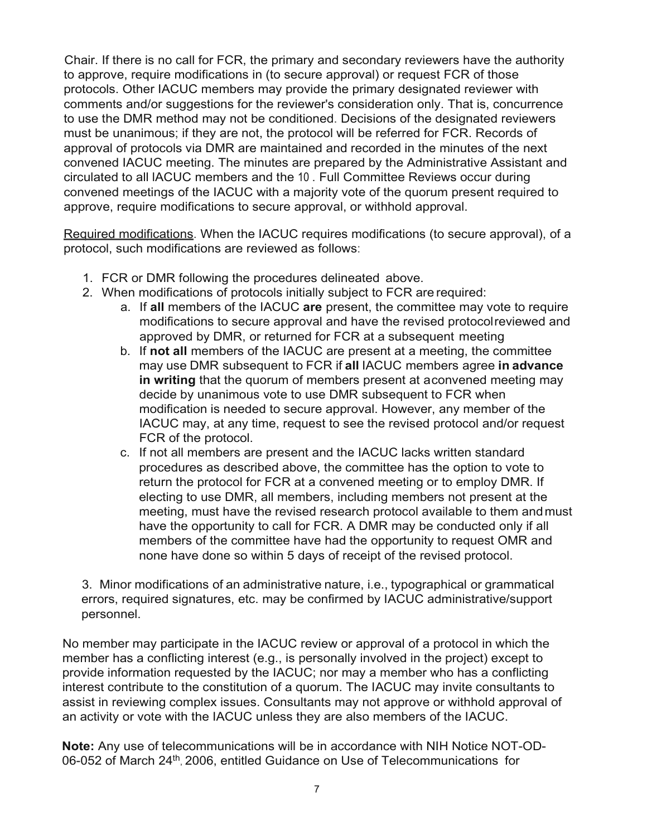Chair. If there is no call for FCR, the primary and secondary reviewers have the authority to approve, require modifications in (to secure approval) or request FCR of those protocols. Other IACUC members may provide the primary designated reviewer with comments and/or suggestions for the reviewer's consideration only. That is, concurrence to use the DMR method may not be conditioned. Decisions of the designated reviewers must be unanimous; if they are not, the protocol will be referred for FCR. Records of approval of protocols via DMR are maintained and recorded in the minutes of the next convened IACUC meeting. The minutes are prepared by the Administrative Assistant and circulated to all lACUC members and the 10 . Full Committee Reviews occur during convened meetings of the IACUC with a majority vote of the quorum present required to approve, require modifications to secure approval, or withhold approval.

Required modifications. When the IACUC requires modifications (to secure approval), of a protocol, such modifications are reviewed as follows:

- 1. FCR or DMR following the procedures delineated above.
- 2. When modifications of protocols initially subject to FCR are required:
	- a. If **all** members of the IACUC **are** present, the committee may vote to require modifications to secure approval and have the revised protocolreviewed and approved by DMR, or returned for FCR at a subsequent meeting
	- b. If **not all** members of the IACUC are present at a meeting, the committee may use DMR subsequent to FCR if **all** IACUC members agree **in advance in writing** that the quorum of members present at aconvened meeting may decide by unanimous vote to use DMR subsequent to FCR when modification is needed to secure approval. However, any member of the IACUC may, at any time, request to see the revised protocol and/or request FCR of the protocol.
	- c. If not all members are present and the IACUC lacks written standard procedures as described above, the committee has the option to vote to return the protocol for FCR at a convened meeting or to employ DMR. If electing to use DMR, all members, including members not present at the meeting, must have the revised research protocol available to them andmust have the opportunity to call for FCR. A DMR may be conducted only if all members of the committee have had the opportunity to request OMR and none have done so within 5 days of receipt of the revised protocol.

3. Minor modifications of an administrative nature, i.e., typographical or grammatical errors, required signatures, etc. may be confirmed by IACUC administrative/support personnel.

No member may participate in the IACUC review or approval of a protocol in which the member has a conflicting interest (e.g., is personally involved in the project) except to provide information requested by the IACUC; nor may a member who has a conflicting interest contribute to the constitution of a quorum. The IACUC may invite consultants to assist in reviewing complex issues. Consultants may not approve or withhold approval of an activity or vote with the IACUC unless they are also members of the IACUC.

**Note:** Any use of telecommunications will be in accordance with NIH Notice NOT-OD-06-052 of March 24<sup>th</sup>, 2006, entitled Guidance on Use of Telecommunications for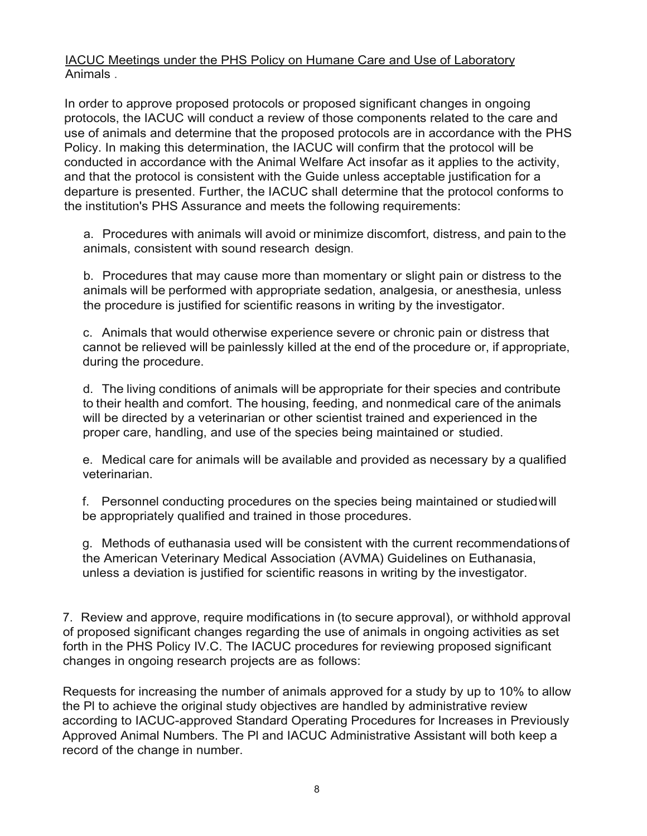#### IACUC Meetings under the PHS Policy on Humane Care and Use of Laboratory Animals .

In order to approve proposed protocols or proposed significant changes in ongoing protocols, the IACUC will conduct a review of those components related to the care and use of animals and determine that the proposed protocols are in accordance with the PHS Policy. In making this determination, the IACUC will confirm that the protocol will be conducted in accordance with the Animal Welfare Act insofar as it applies to the activity, and that the protocol is consistent with the Guide unless acceptable justification for a departure is presented. Further, the IACUC shall determine that the protocol conforms to the institution's PHS Assurance and meets the following requirements:

a. Procedures with animals will avoid or minimize discomfort, distress, and pain to the animals, consistent with sound research design.

b. Procedures that may cause more than momentary or slight pain or distress to the animals will be performed with appropriate sedation, analgesia, or anesthesia, unless the procedure is justified for scientific reasons in writing by the investigator.

c. Animals that would otherwise experience severe or chronic pain or distress that cannot be relieved will be painlessly killed at the end of the procedure or, if appropriate, during the procedure.

d. The living conditions of animals will be appropriate for their species and contribute to their health and comfort. The housing, feeding, and nonmedical care of the animals will be directed by a veterinarian or other scientist trained and experienced in the proper care, handling, and use of the species being maintained or studied.

e. Medical care for animals will be available and provided as necessary by a qualified veterinarian.

f. Personnel conducting procedures on the species being maintained or studiedwill be appropriately qualified and trained in those procedures.

g. Methods of euthanasia used will be consistent with the current recommendationsof the American Veterinary Medical Association (AVMA) Guidelines on Euthanasia, unless a deviation is justified for scientific reasons in writing by the investigator.

7. Review and approve, require modifications in (to secure approval), or withhold approval of proposed significant changes regarding the use of animals in ongoing activities as set forth in the PHS Policy IV.C. The IACUC procedures for reviewing proposed significant changes in ongoing research projects are as follows:

Requests for increasing the number of animals approved for a study by up to 10% to allow the Pl to achieve the original study objectives are handled by administrative review according to IACUC-approved Standard Operating Procedures for Increases in Previously Approved Animal Numbers. The Pl and IACUC Administrative Assistant will both keep a record of the change in number.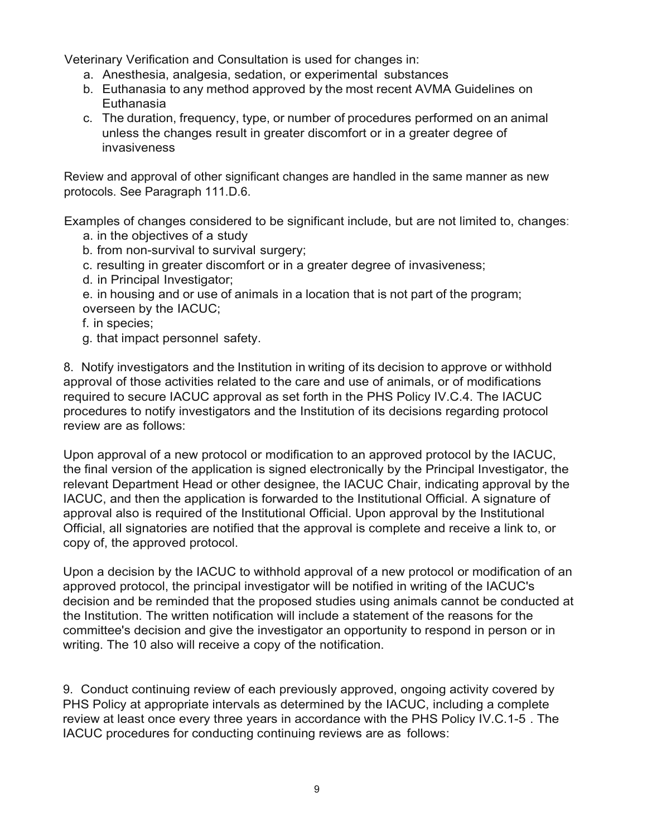Veterinary Verification and Consultation is used for changes in:

- a. Anesthesia, analgesia, sedation, or experimental substances
- b. Euthanasia to any method approved by the most recent AVMA Guidelines on **Euthanasia**
- c. The duration, frequency, type, or number of procedures performed on an animal unless the changes result in greater discomfort or in a greater degree of invasiveness

Review and approval of other significant changes are handled in the same manner as new protocols. See Paragraph 111.D.6.

Examples of changes considered to be significant include, but are not limited to, changes:

- a. in the objectives of a study
- b. from non-survival to survival surgery;
- c. resulting in greater discomfort or in a greater degree of invasiveness;
- d. in Principal Investigator;
- e. in housing and or use of animals in a location that is not part of the program; overseen by the IACUC;
- f. in species;
- g. that impact personnel safety.

8. Notify investigators and the Institution in writing of its decision to approve or withhold approval of those activities related to the care and use of animals, or of modifications required to secure IACUC approval as set forth in the PHS Policy IV.C.4. The IACUC procedures to notify investigators and the Institution of its decisions regarding protocol review are as follows:

Upon approval of a new protocol or modification to an approved protocol by the IACUC, the final version of the application is signed electronically by the Principal Investigator, the relevant Department Head or other designee, the IACUC Chair, indicating approval by the IACUC, and then the application is forwarded to the Institutional Official. A signature of approval also is required of the Institutional Official. Upon approval by the Institutional Official, all signatories are notified that the approval is complete and receive a link to, or copy of, the approved protocol.

Upon a decision by the IACUC to withhold approval of a new protocol or modification of an approved protocol, the principal investigator will be notified in writing of the IACUC's decision and be reminded that the proposed studies using animals cannot be conducted at the Institution. The written notification will include a statement of the reasons for the committee's decision and give the investigator an opportunity to respond in person or in writing. The 10 also will receive a copy of the notification.

9. Conduct continuing review of each previously approved, ongoing activity covered by PHS Policy at appropriate intervals as determined by the IACUC, including a complete review at least once every three years in accordance with the PHS Policy IV.C.1-5 . The IACUC procedures for conducting continuing reviews are as follows: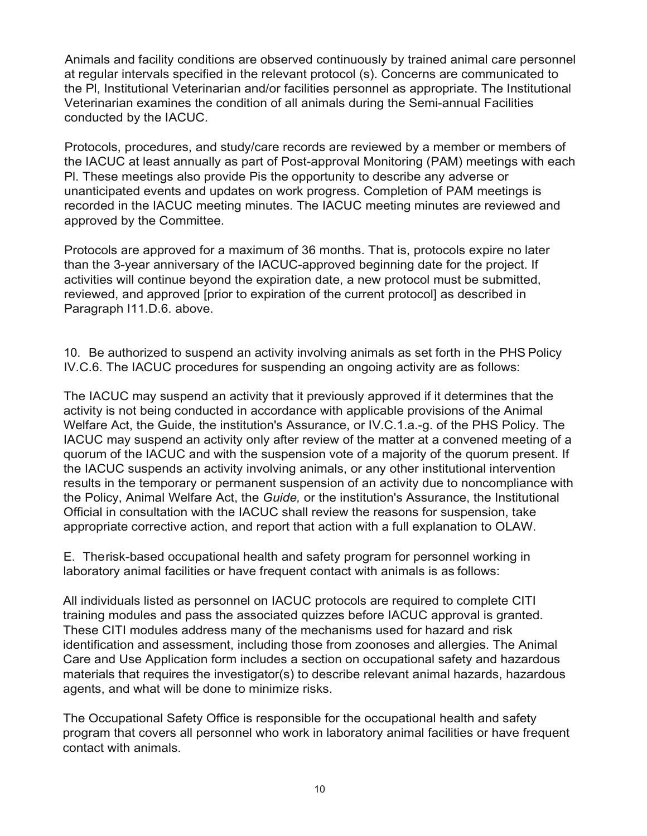Animals and facility conditions are observed continuously by trained animal care personnel at regular intervals specified in the relevant protocol (s). Concerns are communicated to the Pl, Institutional Veterinarian and/or facilities personnel as appropriate. The Institutional Veterinarian examines the condition of all animals during the Semi-annual Facilities conducted by the IACUC.

Protocols, procedures, and study/care records are reviewed by a member or members of the IACUC at least annually as part of Post-approval Monitoring (PAM) meetings with each Pl. These meetings also provide Pis the opportunity to describe any adverse or unanticipated events and updates on work progress. Completion of PAM meetings is recorded in the IACUC meeting minutes. The IACUC meeting minutes are reviewed and approved by the Committee.

Protocols are approved for a maximum of 36 months. That is, protocols expire no later than the 3-year anniversary of the IACUC-approved beginning date for the project. If activities will continue beyond the expiration date, a new protocol must be submitted, reviewed, and approved [prior to expiration of the current protocol] as described in Paragraph I11.D.6. above.

10. Be authorized to suspend an activity involving animals as set forth in the PHS Policy IV.C.6. The IACUC procedures for suspending an ongoing activity are as follows:

The IACUC may suspend an activity that it previously approved if it determines that the activity is not being conducted in accordance with applicable provisions of the Animal Welfare Act, the Guide, the institution's Assurance, or IV.C.1.a.-g. of the PHS Policy. The IACUC may suspend an activity only after review of the matter at a convened meeting of a quorum of the IACUC and with the suspension vote of a majority of the quorum present. If the IACUC suspends an activity involving animals, or any other institutional intervention results in the temporary or permanent suspension of an activity due to noncompliance with the Policy, Animal Welfare Act, the *Guide,* or the institution's Assurance, the Institutional Official in consultation with the IACUC shall review the reasons for suspension, take appropriate corrective action, and report that action with a full explanation to OLAW.

E. Therisk-based occupational health and safety program for personnel working in laboratory animal facilities or have frequent contact with animals is as follows:

All individuals listed as personnel on IACUC protocols are required to complete CITI training modules and pass the associated quizzes before IACUC approval is granted. These CITI modules address many of the mechanisms used for hazard and risk identification and assessment, including those from zoonoses and allergies. The Animal Care and Use Application form includes a section on occupational safety and hazardous materials that requires the investigator(s) to describe relevant animal hazards, hazardous agents, and what will be done to minimize risks.

The Occupational Safety Office is responsible for the occupational health and safety program that covers all personnel who work in laboratory animal facilities or have frequent contact with animals.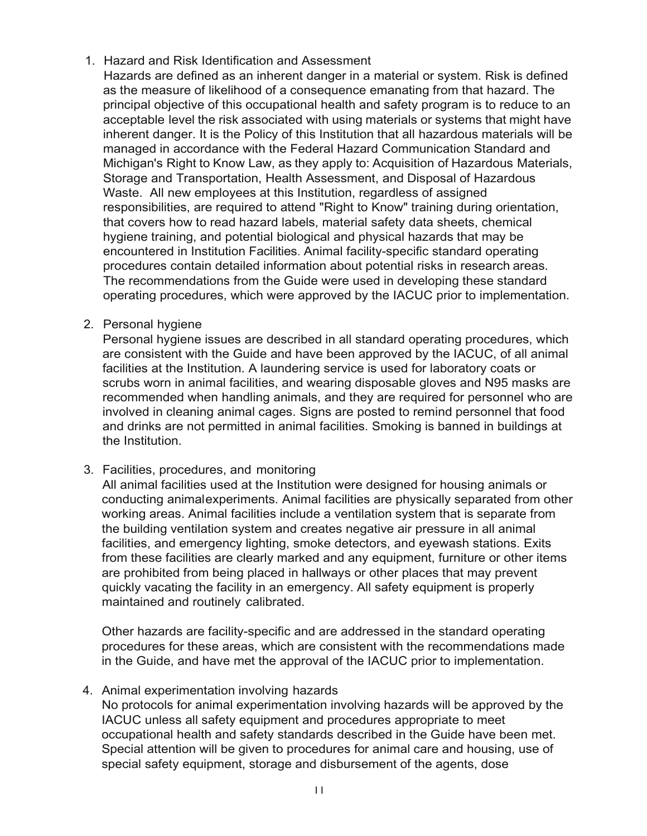- 1. Hazard and Risk Identification and Assessment Hazards are defined as an inherent danger in a material or system. Risk is defined as the measure of likelihood of a consequence emanating from that hazard. The principal objective of this occupational health and safety program is to reduce to an acceptable level the risk associated with using materials or systems that might have inherent danger. It is the Policy of this Institution that all hazardous materials will be managed in accordance with the Federal Hazard Communication Standard and Michigan's Right to Know Law, as they apply to: Acquisition of Hazardous Materials, Storage and Transportation, Health Assessment, and Disposal of Hazardous Waste. All new employees at this Institution, regardless of assigned responsibilities, are required to attend "Right to Know" training during orientation, that covers how to read hazard labels, material safety data sheets, chemical hygiene training, and potential biological and physical hazards that may be encountered in Institution Facilities. Animal facility-specific standard operating procedures contain detailed information about potential risks in research areas. The recommendations from the Guide were used in developing these standard operating procedures, which were approved by the IACUC prior to implementation.
- 2. Personal hygiene

Personal hygiene issues are described in all standard operating procedures, which are consistent with the Guide and have been approved by the IACUC, of all animal facilities at the Institution. A laundering service is used for laboratory coats or scrubs worn in animal facilities, and wearing disposable gloves and N95 masks are recommended when handling animals, and they are required for personnel who are involved in cleaning animal cages. Signs are posted to remind personnel that food and drinks are not permitted in animal facilities. Smoking is banned in buildings at the Institution.

3. Facilities, procedures, and monitoring

All animal facilities used at the Institution were designed for housing animals or conducting animalexperiments. Animal facilities are physically separated from other working areas. Animal facilities include a ventilation system that is separate from the building ventilation system and creates negative air pressure in all animal facilities, and emergency lighting, smoke detectors, and eyewash stations. Exits from these facilities are clearly marked and any equipment, furniture or other items are prohibited from being placed in hallways or other places that may prevent quickly vacating the facility in an emergency. All safety equipment is properly maintained and routinely calibrated.

Other hazards are facility-specific and are addressed in the standard operating procedures for these areas, which are consistent with the recommendations made in the Guide, and have met the approval of the IACUC prior to implementation.

4. Animal experimentation involving hazards

No protocols for animal experimentation involving hazards will be approved by the IACUC unless all safety equipment and procedures appropriate to meet occupational health and safety standards described in the Guide have been met. Special attention will be given to procedures for animal care and housing, use of special safety equipment, storage and disbursement of the agents, dose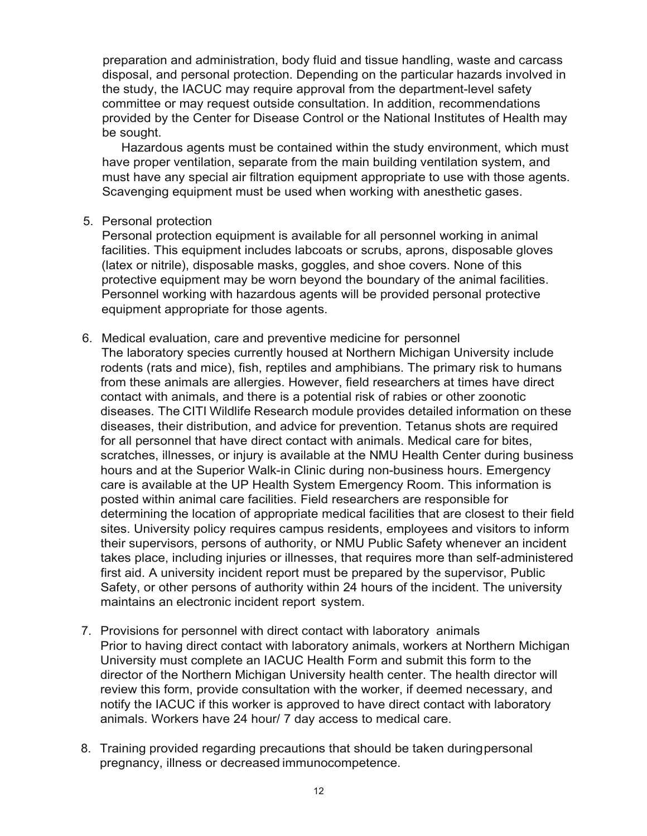preparation and administration, body fluid and tissue handling, waste and carcass disposal, and personal protection. Depending on the particular hazards involved in the study, the IACUC may require approval from the department-level safety committee or may request outside consultation. In addition, recommendations provided by the Center for Disease Control or the National Institutes of Health may be sought.

Hazardous agents must be contained within the study environment, which must have proper ventilation, separate from the main building ventilation system, and must have any special air filtration equipment appropriate to use with those agents. Scavenging equipment must be used when working with anesthetic gases.

#### 5. Personal protection

Personal protection equipment is available for all personnel working in animal facilities. This equipment includes labcoats or scrubs, aprons, disposable gloves (latex or nitrile), disposable masks, goggles, and shoe covers. None of this protective equipment may be worn beyond the boundary of the animal facilities. Personnel working with hazardous agents will be provided personal protective equipment appropriate for those agents.

- 6. Medical evaluation, care and preventive medicine for personnel The laboratory species currently housed at Northern Michigan University include rodents (rats and mice), fish, reptiles and amphibians. The primary risk to humans from these animals are allergies. However, field researchers at times have direct contact with animals, and there is a potential risk of rabies or other zoonotic diseases. The CITI Wildlife Research module provides detailed information on these diseases, their distribution, and advice for prevention. Tetanus shots are required for all personnel that have direct contact with animals. Medical care for bites, scratches, illnesses, or injury is available at the NMU Health Center during business hours and at the Superior Walk-in Clinic during non-business hours. Emergency care is available at the UP Health System Emergency Room. This information is posted within animal care facilities. Field researchers are responsible for determining the location of appropriate medical facilities that are closest to their field sites. University policy requires campus residents, employees and visitors to inform their supervisors, persons of authority, or NMU Public Safety whenever an incident takes place, including injuries or illnesses, that requires more than self-administered first aid. A university incident report must be prepared by the supervisor, Public Safety, or other persons of authority within 24 hours of the incident. The university maintains an electronic incident report system.
- 7. Provisions for personnel with direct contact with laboratory animals Prior to having direct contact with laboratory animals, workers at Northern Michigan University must complete an IACUC Health Form and submit this form to the director of the Northern Michigan University health center. The health director will review this form, provide consultation with the worker, if deemed necessary, and notify the IACUC if this worker is approved to have direct contact with laboratory animals. Workers have 24 hour/ 7 day access to medical care.
- 8. Training provided regarding precautions that should be taken duringpersonal pregnancy, illness or decreased immunocompetence.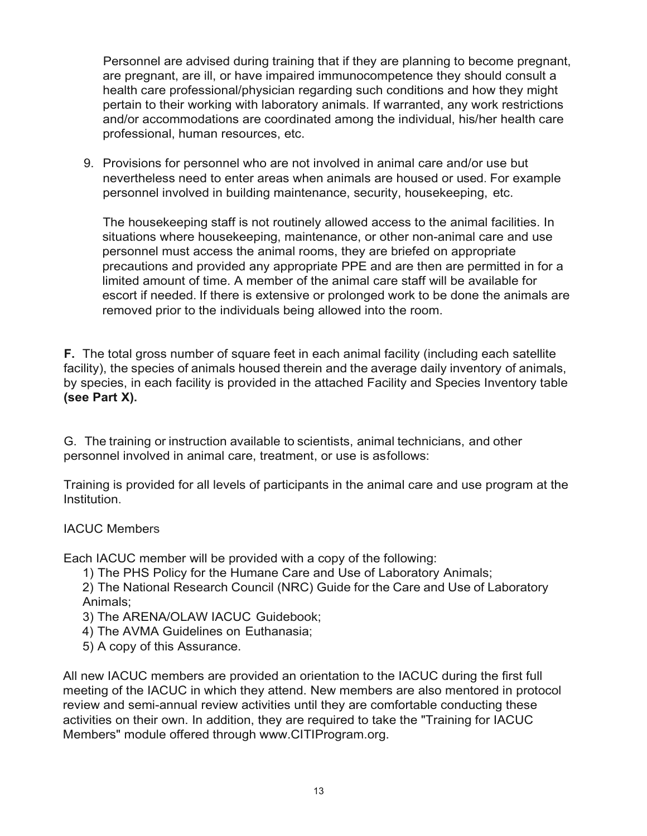Personnel are advised during training that if they are planning to become pregnant, are pregnant, are ill, or have impaired immunocompetence they should consult a health care professional/physician regarding such conditions and how they might pertain to their working with laboratory animals. If warranted, any work restrictions and/or accommodations are coordinated among the individual, his/her health care professional, human resources, etc.

9. Provisions for personnel who are not involved in animal care and/or use but nevertheless need to enter areas when animals are housed or used. For example personnel involved in building maintenance, security, housekeeping, etc.

The housekeeping staff is not routinely allowed access to the animal facilities. In situations where housekeeping, maintenance, or other non-animal care and use personnel must access the animal rooms, they are briefed on appropriate precautions and provided any appropriate PPE and are then are permitted in for a limited amount of time. A member of the animal care staff will be available for escort if needed. If there is extensive or prolonged work to be done the animals are removed prior to the individuals being allowed into the room.

**F.** The total gross number of square feet in each animal facility (including each satellite facility), the species of animals housed therein and the average daily inventory of animals, by species, in each facility is provided in the attached Facility and Species Inventory table **(see Part X).**

G. The training or instruction available to scientists, animal technicians, and other personnel involved in animal care, treatment, or use is asfollows:

Training is provided for all levels of participants in the animal care and use program at the Institution.

#### IACUC Members

Each IACUC member will be provided with a copy of the following:

1) The PHS Policy for the Humane Care and Use of Laboratory Animals;

2) The National Research Council (NRC) Guide for the Care and Use of Laboratory Animals;

- 3) The ARENA/OLAW IACUC Guidebook;
- 4) The AVMA Guidelines on Euthanasia;
- 5) A copy of this Assurance.

All new IACUC members are provided an orientation to the IACUC during the first full meeting of the IACUC in which they attend. New members are also mentored in protocol review and semi-annual review activities until they are comfortable conducting these activities on their own. In addition, they are required to take the "Training for IACUC Members" module offered through [www.CITIProgram.org.](http://www.citiprogram.org/)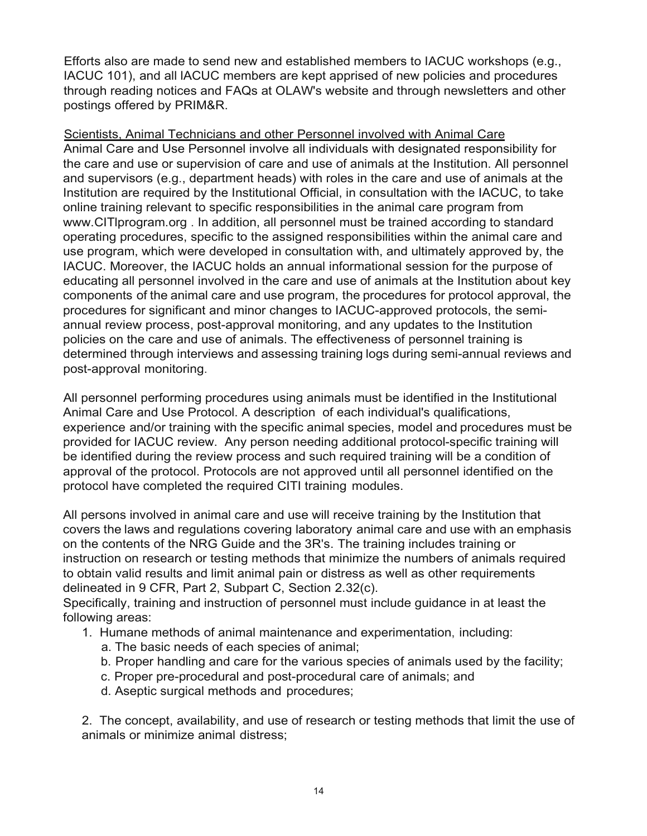Efforts also are made to send new and established members to IACUC workshops (e.g., IACUC 101), and all lACUC members are kept apprised of new policies and procedures through reading notices and FAQs at OLAW's website and through newsletters and other postings offered by PRIM&R.

Scientists, Animal Technicians and other Personnel involved with Animal Care Animal Care and Use Personnel involve all individuals with designated responsibility for the care and use or supervision of care and use of animals at the Institution. All personnel and supervisors (e.g., department heads) with roles in the care and use of animals at the Institution are required by the Institutional Official, in consultation with the IACUC, to take online training relevant to specific responsibilities in the animal care program from [www.CITlprogram.org .](http://www.citlprogram.org/) In addition, all personnel must be trained according to standard operating procedures, specific to the assigned responsibilities within the animal care and use program, which were developed in consultation with, and ultimately approved by, the IACUC. Moreover, the IACUC holds an annual informational session for the purpose of educating all personnel involved in the care and use of animals at the Institution about key components of the animal care and use program, the procedures for protocol approval, the procedures for significant and minor changes to IACUC-approved protocols, the semiannual review process, post-approval monitoring, and any updates to the Institution policies on the care and use of animals. The effectiveness of personnel training is determined through interviews and assessing training logs during semi-annual reviews and post-approval monitoring.

All personnel performing procedures using animals must be identified in the Institutional Animal Care and Use Protocol. A description of each individual's qualifications, experience and/or training with the specific animal species, model and procedures must be provided for IACUC review. Any person needing additional protocol-specific training will be identified during the review process and such required training will be a condition of approval of the protocol. Protocols are not approved until all personnel identified on the protocol have completed the required CITI training modules.

All persons involved in animal care and use will receive training by the Institution that covers the laws and regulations covering laboratory animal care and use with an emphasis on the contents of the NRG Guide and the 3R's. The training includes training or instruction on research or testing methods that minimize the numbers of animals required to obtain valid results and limit animal pain or distress as well as other requirements delineated in 9 CFR, Part 2, Subpart C, Section 2.32(c).

Specifically, training and instruction of personnel must include guidance in at least the following areas:

- 1. Humane methods of animal maintenance and experimentation, including:
	- a. The basic needs of each species of animal;
	- b. Proper handling and care for the various species of animals used by the facility;
	- c. Proper pre-procedural and post-procedural care of animals; and
	- d. Aseptic surgical methods and procedures;

2. The concept, availability, and use of research or testing methods that limit the use of animals or minimize animal distress;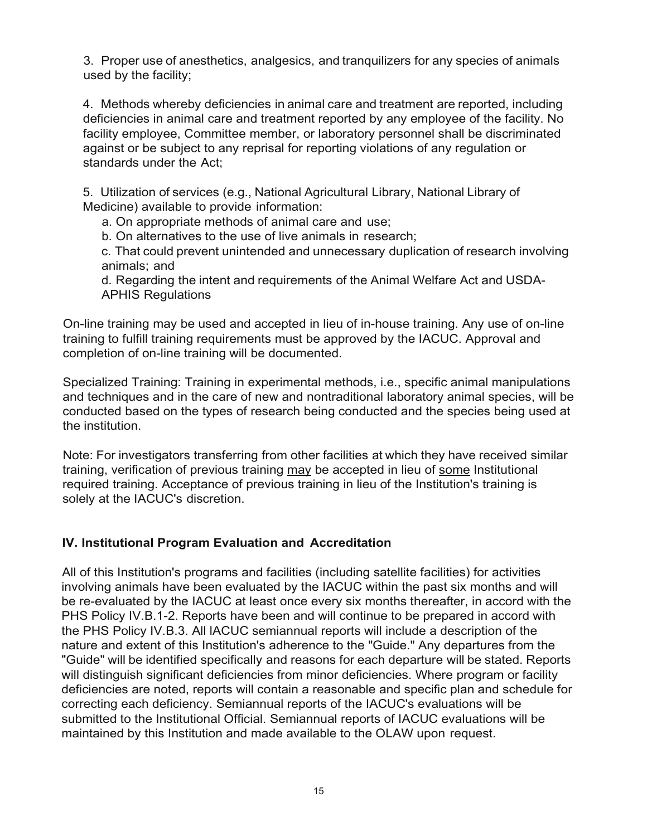3. Proper use of anesthetics, analgesics, and tranquilizers for any species of animals used by the facility;

4. Methods whereby deficiencies in animal care and treatment are reported, including deficiencies in animal care and treatment reported by any employee of the facility. No facility employee, Committee member, or laboratory personnel shall be discriminated against or be subject to any reprisal for reporting violations of any regulation or standards under the Act;

5. Utilization of services (e.g., National Agricultural Library, National Library of Medicine) available to provide information:

a. On appropriate methods of animal care and use;

b. On alternatives to the use of live animals in research;

c. That could prevent unintended and unnecessary duplication of research involving animals; and

d. Regarding the intent and requirements of the Animal Welfare Act and USDA-APHIS Regulations

On-line training may be used and accepted in lieu of in-house training. Any use of on-line training to fulfill training requirements must be approved by the IACUC. Approval and completion of on-line training will be documented.

Specialized Training: Training in experimental methods, i.e., specific animal manipulations and techniques and in the care of new and nontraditional laboratory animal species, will be conducted based on the types of research being conducted and the species being used at the institution.

Note: For investigators transferring from other facilities at which they have received similar training, verification of previous training may be accepted in lieu of some Institutional required training. Acceptance of previous training in lieu of the Institution's training is solely at the IACUC's discretion.

### **IV. Institutional Program Evaluation and Accreditation**

All of this Institution's programs and facilities (including satellite facilities) for activities involving animals have been evaluated by the IACUC within the past six months and will be re-evaluated by the IACUC at least once every six months thereafter, in accord with the PHS Policy IV.B.1-2. Reports have been and will continue to be prepared in accord with the PHS Policy IV.B.3. All lACUC semiannual reports will include a description of the nature and extent of this Institution's adherence to the "Guide." Any departures from the "Guide" will be identified specifically and reasons for each departure will be stated. Reports will distinguish significant deficiencies from minor deficiencies. Where program or facility deficiencies are noted, reports will contain a reasonable and specific plan and schedule for correcting each deficiency. Semiannual reports of the IACUC's evaluations will be submitted to the Institutional Official. Semiannual reports of IACUC evaluations will be maintained by this Institution and made available to the OLAW upon request.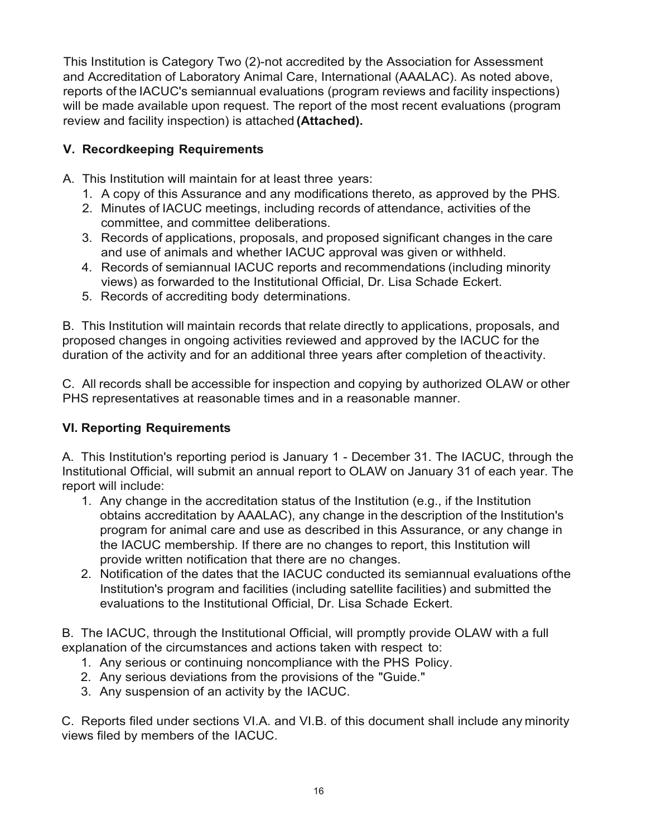This Institution is Category Two (2)-not accredited by the Association for Assessment and Accreditation of Laboratory Animal Care, International (AAALAC). As noted above, reports of the IACUC's semiannual evaluations (program reviews and facility inspections) will be made available upon request. The report of the most recent evaluations (program review and facility inspection) is attached **(Attached).**

## **V. Recordkeeping Requirements**

- A. This Institution will maintain for at least three years:
	- 1. A copy of this Assurance and any modifications thereto, as approved by the PHS.
	- 2. Minutes of IACUC meetings, including records of attendance, activities of the committee, and committee deliberations.
	- 3. Records of applications, proposals, and proposed significant changes in the care and use of animals and whether IACUC approval was given or withheld.
	- 4. Records of semiannual IACUC reports and recommendations (including minority views) as forwarded to the Institutional Official, Dr. Lisa Schade Eckert.
	- 5. Records of accrediting body determinations.

B. This Institution will maintain records that relate directly to applications, proposals, and proposed changes in ongoing activities reviewed and approved by the IACUC for the duration of the activity and for an additional three years after completion of theactivity.

C. All records shall be accessible for inspection and copying by authorized OLAW or other PHS representatives at reasonable times and in a reasonable manner.

## **VI. Reporting Requirements**

A. This Institution's reporting period is January 1 - December 31. The IACUC, through the Institutional Official, will submit an annual report to OLAW on January 31 of each year. The report will include:

- 1. Any change in the accreditation status of the Institution (e.g., if the Institution obtains accreditation by AAALAC), any change in the description of the Institution's program for animal care and use as described in this Assurance, or any change in the IACUC membership. If there are no changes to report, this Institution will provide written notification that there are no changes.
- 2. Notification of the dates that the IACUC conducted its semiannual evaluations ofthe Institution's program and facilities (including satellite facilities) and submitted the evaluations to the Institutional Official, Dr. Lisa Schade Eckert.

B. The IACUC, through the Institutional Official, will promptly provide OLAW with a full explanation of the circumstances and actions taken with respect to:

- 1. Any serious or continuing noncompliance with the PHS Policy.
- 2. Any serious deviations from the provisions of the "Guide."
- 3. Any suspension of an activity by the IACUC.

C. Reports filed under sections VI.A. and VI.B. of this document shall include any minority views filed by members of the IACUC.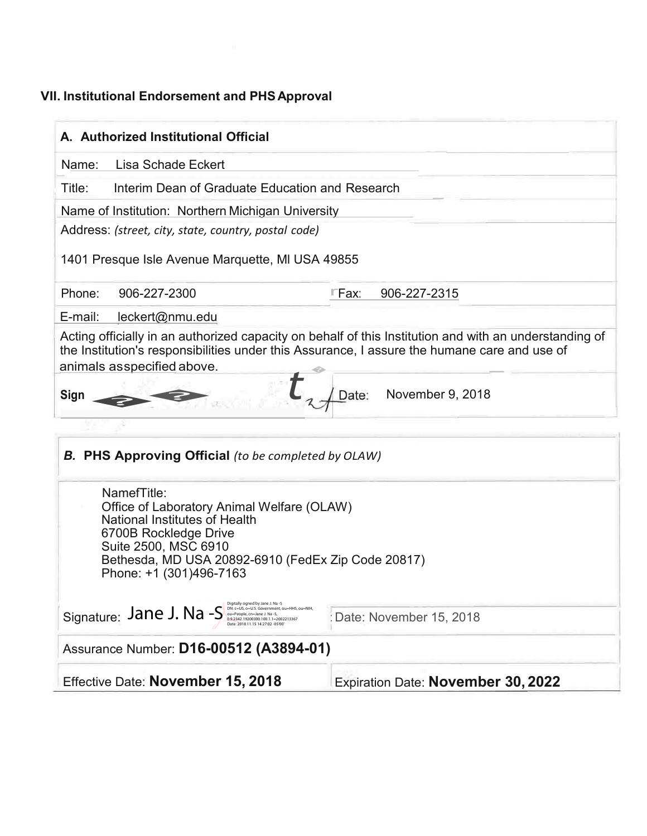## **VII. Institutional Endorsement and PHSApproval**

| A. Authorized Institutional Official                                                                                                                                                                                                           |                                                                                                        |  |
|------------------------------------------------------------------------------------------------------------------------------------------------------------------------------------------------------------------------------------------------|--------------------------------------------------------------------------------------------------------|--|
| Lisa Schade Eckert<br>Name:                                                                                                                                                                                                                    |                                                                                                        |  |
| Interim Dean of Graduate Education and Research<br>Title:                                                                                                                                                                                      |                                                                                                        |  |
| Name of Institution: Northern Michigan University                                                                                                                                                                                              |                                                                                                        |  |
| Address: (street, city, state, country, postal code)                                                                                                                                                                                           |                                                                                                        |  |
| 1401 Presque Isle Avenue Marquette, MI USA 49855                                                                                                                                                                                               |                                                                                                        |  |
| Phone:<br>906-227-2300                                                                                                                                                                                                                         | 906-227-2315<br>l <sup>r</sup> Fax:                                                                    |  |
| E-mail:<br>leckert@nmu.edu                                                                                                                                                                                                                     |                                                                                                        |  |
| the Institution's responsibilities under this Assurance, I assure the humane care and use of<br>animals asspecified above.                                                                                                                     | Acting officially in an authorized capacity on behalf of this Institution and with an understanding of |  |
| Sign                                                                                                                                                                                                                                           | November 9, 2018<br>Date:                                                                              |  |
|                                                                                                                                                                                                                                                |                                                                                                        |  |
| <b>B. PHS Approving Official</b> (to be completed by OLAW)                                                                                                                                                                                     |                                                                                                        |  |
| NamefTitle:<br>Office of Laboratory Animal Welfare (OLAW)<br><b>National Institutes of Health</b><br>6700B Rockledge Drive<br>Suite 2500, MSC 6910<br>Bethesda, MD USA 20892-6910 (FedEx Zip Code 20817)<br>Phone: +1 (301)496-7163            |                                                                                                        |  |
| Digitally signed by Jane J. Na -S<br>DN: c=US, o=U.S. Government, ou=HHS, ou=NIH,<br>Signature: Jane J. Na -S Signature Signature Mars Continued by Jane J. Na - S<br>0.9.2342.19200300.100.1.1=2002213367<br>Date: 2018 11 15 14:27:02 -05/00 | : Date: November 15, 2018                                                                              |  |
| Assurance Number: D16-00512 (A3894-01)                                                                                                                                                                                                         |                                                                                                        |  |
| Effective Date: November 15, 2018                                                                                                                                                                                                              | <b>Expiration Date: November 30, 2022</b>                                                              |  |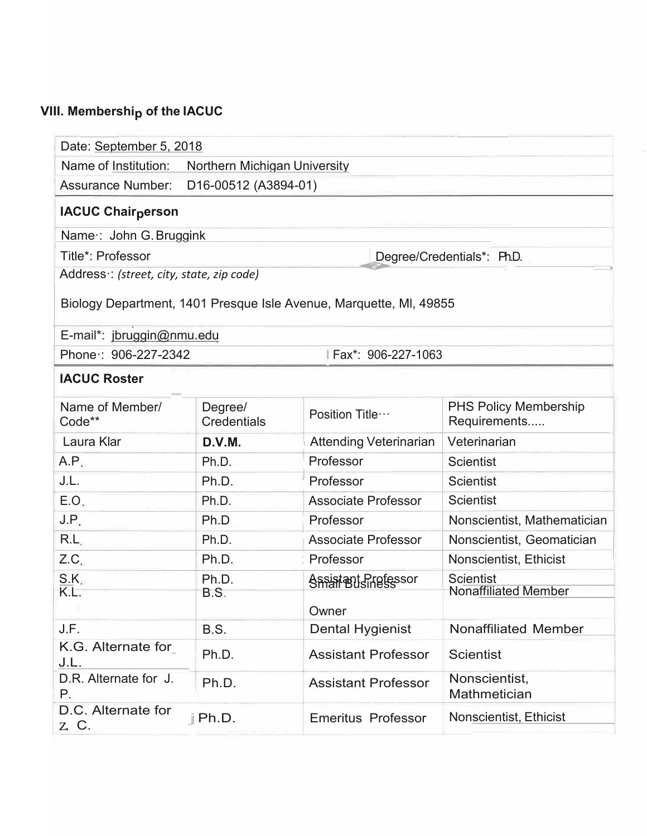# **VIII. Membership of the IACUC**

| Date: September 5, 2018                                            |                               |                               |                                              |  |  |  |
|--------------------------------------------------------------------|-------------------------------|-------------------------------|----------------------------------------------|--|--|--|
| Name of Institution:                                               | Northern Michigan University  |                               |                                              |  |  |  |
| <b>Assurance Number:</b>                                           | D16-00512 (A3894-01)          |                               |                                              |  |  |  |
| <b>IACUC Chairperson</b>                                           |                               |                               |                                              |  |  |  |
| Name: John G. Bruggink                                             |                               |                               |                                              |  |  |  |
| Title*: Professor                                                  | Degree/Credentials*: Ph.D.    |                               |                                              |  |  |  |
| Address : (street, city, state, zip code)                          |                               |                               |                                              |  |  |  |
| Biology Department, 1401 Presque Isle Avenue, Marquette, MI, 49855 |                               |                               |                                              |  |  |  |
| E-mail*: jbruggin@nmu.edu                                          |                               |                               |                                              |  |  |  |
| Phone: 906-227-2342<br>Fax*: 906-227-1063                          |                               |                               |                                              |  |  |  |
| <b>IACUC Roster</b>                                                |                               |                               |                                              |  |  |  |
| Name of Member/<br>Code**                                          | Degree/<br><b>Credentials</b> | Position Title ···            | <b>PHS Policy Membership</b><br>Requirements |  |  |  |
| Laura Klar                                                         | D.V.M.                        | <b>Attending Veterinarian</b> | Veterinarian                                 |  |  |  |
| A.P.                                                               | Ph.D.                         | Professor                     | <b>Scientist</b>                             |  |  |  |
| J.L.                                                               | Ph.D.                         | Professor                     | <b>Scientist</b>                             |  |  |  |
| E.O.                                                               | Ph.D.                         | <b>Associate Professor</b>    | <b>Scientist</b>                             |  |  |  |
| J.P.                                                               | Ph.D                          | Professor                     | Nonscientist, Mathematician                  |  |  |  |
| R.L.                                                               | Ph.D.                         | <b>Associate Professor</b>    | Nonscientist, Geomatician                    |  |  |  |
| Z.C.                                                               | Ph.D.                         | Professor                     | Nonscientist, Ethicist                       |  |  |  |
| S.K.                                                               | Ph.D.                         | <b>Assistant Professor</b>    | <b>Scientist</b>                             |  |  |  |
| K.L.                                                               | B.S.                          |                               | <b>Nonaffiliated Member</b>                  |  |  |  |
|                                                                    |                               | Owner                         |                                              |  |  |  |
| J.F.                                                               | B.S.                          | <b>Dental Hygienist</b>       | <b>Nonaffiliated Member</b>                  |  |  |  |
| K.G. Alternate for<br>J.L.                                         | Ph.D.                         | <b>Assistant Professor</b>    | <b>Scientist</b>                             |  |  |  |
| D.R. Alternate for J.<br>Р.                                        | Ph.D.                         | <b>Assistant Professor</b>    | Nonscientist,<br><b>Mathmetician</b>         |  |  |  |
| D.C. Alternate for<br>Z. C.                                        | $\bar{\parallel}$ Ph.D.       | <b>Emeritus Professor</b>     | Nonscientist, Ethicist                       |  |  |  |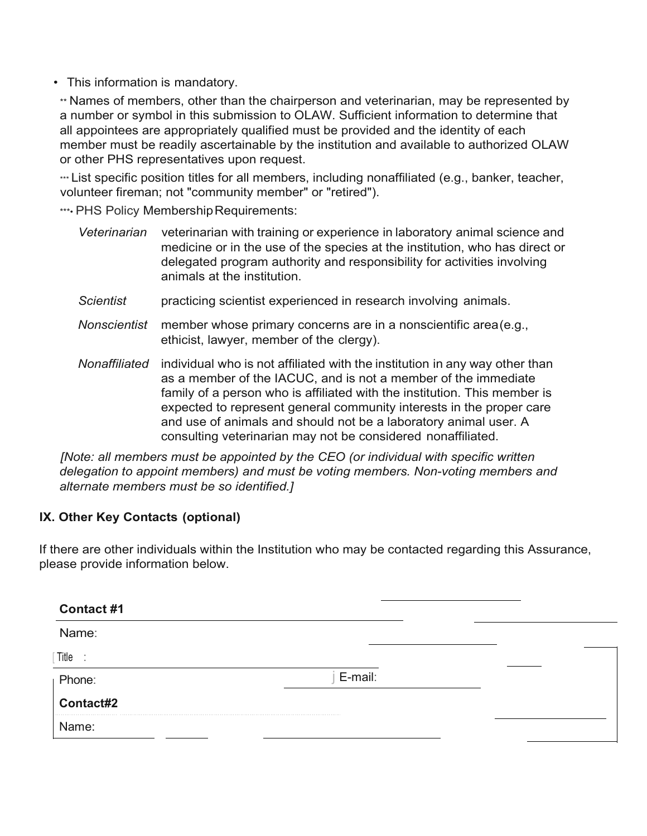• This information is mandatory.

\*\* Names of members, other than the chairperson and veterinarian, may be represented by a number or symbol in this submission to OLAW. Sufficient information to determine that all appointees are appropriately qualified must be provided and the identity of each member must be readily ascertainable by the institution and available to authorized OLAW or other PHS representatives upon request.

\*\*\* List specific position titles for all members, including nonaffiliated (e.g., banker, teacher, volunteer fireman; not "community member" or "retired").

\*\*\*• PHS Policy Membership Requirements:

- *Veterinarian* veterinarian with training or experience in laboratory animal science and medicine or in the use of the species at the institution, who has direct or delegated program authority and responsibility for activities involving animals at the institution.
- *Scientist* practicing scientist experienced in research involving animals.
- *Nonscientist* member whose primary concerns are in a nonscientific area(e.g., ethicist, lawyer, member of the clergy).
- *Nonaffiliated* individual who is not affiliated with the institution in any way other than as a member of the IACUC, and is not a member of the immediate family of a person who is affiliated with the institution. This member is expected to represent general community interests in the proper care and use of animals and should not be a laboratory animal user. A consulting veterinarian may not be considered nonaffiliated.

*[Note: all members must be appointed by the CEO (or individual with specific written delegation to appoint members) and must be voting members. Non-voting members and alternate members must be so identified.]*

#### **IX. Other Key Contacts (optional)**

If there are other individuals within the Institution who may be contacted regarding this Assurance, please provide information below.

| <b>Contact #1</b> |         |  |
|-------------------|---------|--|
| Name:             |         |  |
| Title :           |         |  |
| Phone:            | E-mail: |  |
| Contact#2         |         |  |
| Name:             |         |  |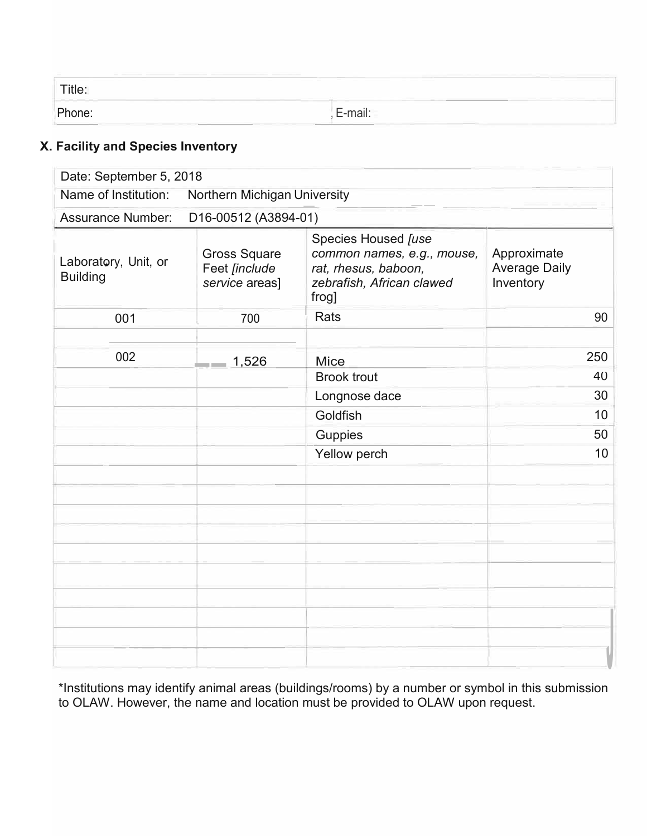| Title:<br>the control company and the |         |
|---------------------------------------|---------|
| ______<br>Phone:                      | E-mail: |

## **X. Facility and Species Inventory**

| Date: September 5, 2018                 |                                                        |                                                                                                                 |                                                  |
|-----------------------------------------|--------------------------------------------------------|-----------------------------------------------------------------------------------------------------------------|--------------------------------------------------|
| Name of Institution:                    | Northern Michigan University                           |                                                                                                                 |                                                  |
| <b>Assurance Number:</b>                | D16-00512 (A3894-01)                                   |                                                                                                                 |                                                  |
| Laboratory, Unit, or<br><b>Building</b> | <b>Gross Square</b><br>Feet [include<br>service areas] | Species Housed [use<br>common names, e.g., mouse,<br>rat, rhesus, baboon,<br>zebrafish, African clawed<br>frog] | Approximate<br><b>Average Daily</b><br>Inventory |
| 001                                     | 700                                                    | Rats                                                                                                            | 90                                               |
| 002                                     | 1,526                                                  | <b>Mice</b>                                                                                                     | 250                                              |
|                                         |                                                        | <b>Brook trout</b>                                                                                              | 40                                               |
|                                         |                                                        | Longnose dace                                                                                                   | 30                                               |
|                                         |                                                        | Goldfish                                                                                                        | 10                                               |
|                                         |                                                        | Guppies                                                                                                         | 50                                               |
|                                         |                                                        | Yellow perch                                                                                                    | 10                                               |
|                                         |                                                        |                                                                                                                 |                                                  |

\*Institutions may identify animal areas (buildings/rooms) by a number or symbol in this submission to OLAW. However, the name and location must be provided to OLAW upon request.